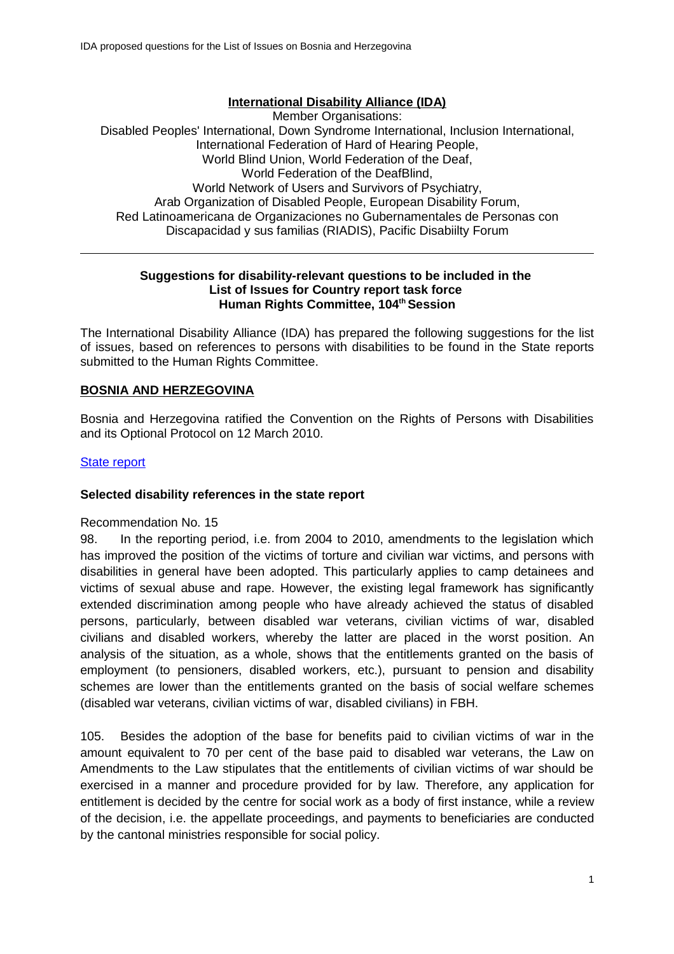## **International Disability Alliance (IDA)**

Member Organisations: Disabled Peoples' International, Down Syndrome International, Inclusion International, International Federation of Hard of Hearing People, World Blind Union, World Federation of the Deaf, World Federation of the DeafBlind, World Network of Users and Survivors of Psychiatry, Arab Organization of Disabled People, European Disability Forum, Red Latinoamericana de Organizaciones no Gubernamentales de Personas con Discapacidad y sus familias (RIADIS), Pacific Disabiilty Forum

#### **Suggestions for disability-relevant questions to be included in the List of Issues for Country report task force Human Rights Committee, 104th Session**

The International Disability Alliance (IDA) has prepared the following suggestions for the list of issues, based on references to persons with disabilities to be found in the State reports submitted to the Human Rights Committee.

## **BOSNIA AND HERZEGOVINA**

Bosnia and Herzegovina ratified the Convention on the Rights of Persons with Disabilities and its Optional Protocol on 12 March 2010.

## **State report**

## **Selected disability references in the state report**

Recommendation No. 15

98. In the reporting period, i.e. from 2004 to 2010, amendments to the legislation which has improved the position of the victims of torture and civilian war victims, and persons with disabilities in general have been adopted. This particularly applies to camp detainees and victims of sexual abuse and rape. However, the existing legal framework has significantly extended discrimination among people who have already achieved the status of disabled persons, particularly, between disabled war veterans, civilian victims of war, disabled civilians and disabled workers, whereby the latter are placed in the worst position. An analysis of the situation, as a whole, shows that the entitlements granted on the basis of employment (to pensioners, disabled workers, etc.), pursuant to pension and disability schemes are lower than the entitlements granted on the basis of social welfare schemes (disabled war veterans, civilian victims of war, disabled civilians) in FBH.

105. Besides the adoption of the base for benefits paid to civilian victims of war in the amount equivalent to 70 per cent of the base paid to disabled war veterans, the Law on Amendments to the Law stipulates that the entitlements of civilian victims of war should be exercised in a manner and procedure provided for by law. Therefore, any application for entitlement is decided by the centre for social work as a body of first instance, while a review of the decision, i.e. the appellate proceedings, and payments to beneficiaries are conducted by the cantonal ministries responsible for social policy.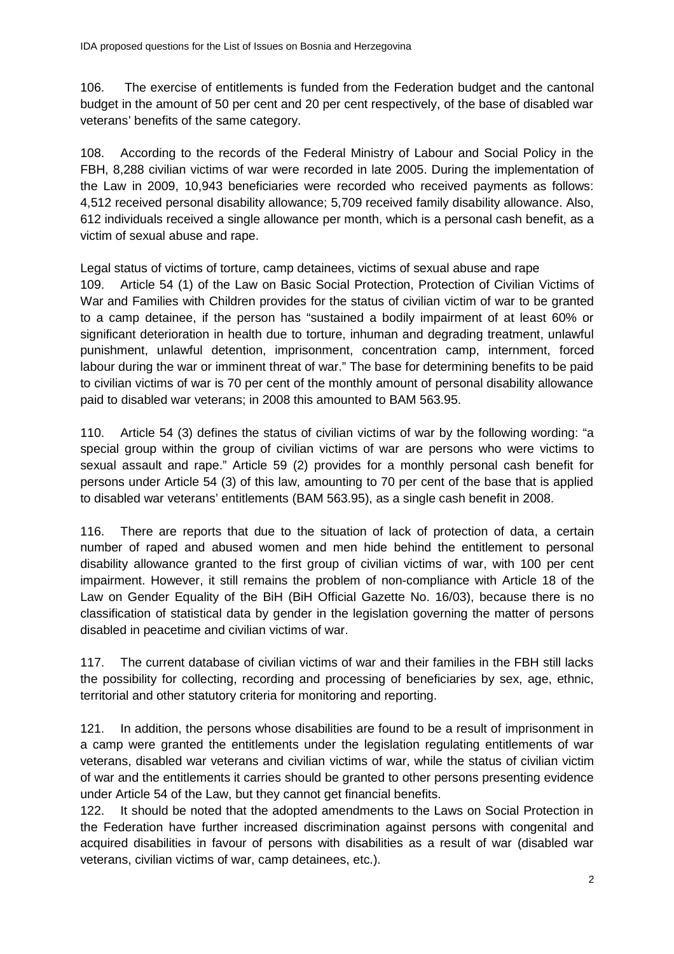106. The exercise of entitlements is funded from the Federation budget and the cantonal budget in the amount of 50 per cent and 20 per cent respectively, of the base of disabled war veterans' benefits of the same category.

108. According to the records of the Federal Ministry of Labour and Social Policy in the FBH, 8,288 civilian victims of war were recorded in late 2005. During the implementation of the Law in 2009, 10,943 beneficiaries were recorded who received payments as follows: 4,512 received personal disability allowance; 5,709 received family disability allowance. Also, 612 individuals received a single allowance per month, which is a personal cash benefit, as a victim of sexual abuse and rape.

Legal status of victims of torture, camp detainees, victims of sexual abuse and rape 109. Article 54 (1) of the Law on Basic Social Protection, Protection of Civilian Victims of War and Families with Children provides for the status of civilian victim of war to be granted to a camp detainee, if the person has "sustained a bodily impairment of at least 60% or significant deterioration in health due to torture, inhuman and degrading treatment, unlawful punishment, unlawful detention, imprisonment, concentration camp, internment, forced labour during the war or imminent threat of war." The base for determining benefits to be paid to civilian victims of war is 70 per cent of the monthly amount of personal disability allowance paid to disabled war veterans; in 2008 this amounted to BAM 563.95.

110. Article 54 (3) defines the status of civilian victims of war by the following wording: "a special group within the group of civilian victims of war are persons who were victims to sexual assault and rape." Article 59 (2) provides for a monthly personal cash benefit for persons under Article 54 (3) of this law, amounting to 70 per cent of the base that is applied to disabled war veterans' entitlements (BAM 563.95), as a single cash benefit in 2008.

116. There are reports that due to the situation of lack of protection of data, a certain number of raped and abused women and men hide behind the entitlement to personal disability allowance granted to the first group of civilian victims of war, with 100 per cent impairment. However, it still remains the problem of non-compliance with Article 18 of the Law on Gender Equality of the BiH (BiH Official Gazette No. 16/03), because there is no classification of statistical data by gender in the legislation governing the matter of persons disabled in peacetime and civilian victims of war.

117. The current database of civilian victims of war and their families in the FBH still lacks the possibility for collecting, recording and processing of beneficiaries by sex, age, ethnic, territorial and other statutory criteria for monitoring and reporting.

121. In addition, the persons whose disabilities are found to be a result of imprisonment in a camp were granted the entitlements under the legislation regulating entitlements of war veterans, disabled war veterans and civilian victims of war, while the status of civilian victim of war and the entitlements it carries should be granted to other persons presenting evidence under Article 54 of the Law, but they cannot get financial benefits.

122. It should be noted that the adopted amendments to the Laws on Social Protection in the Federation have further increased discrimination against persons with congenital and acquired disabilities in favour of persons with disabilities as a result of war (disabled war veterans, civilian victims of war, camp detainees, etc.).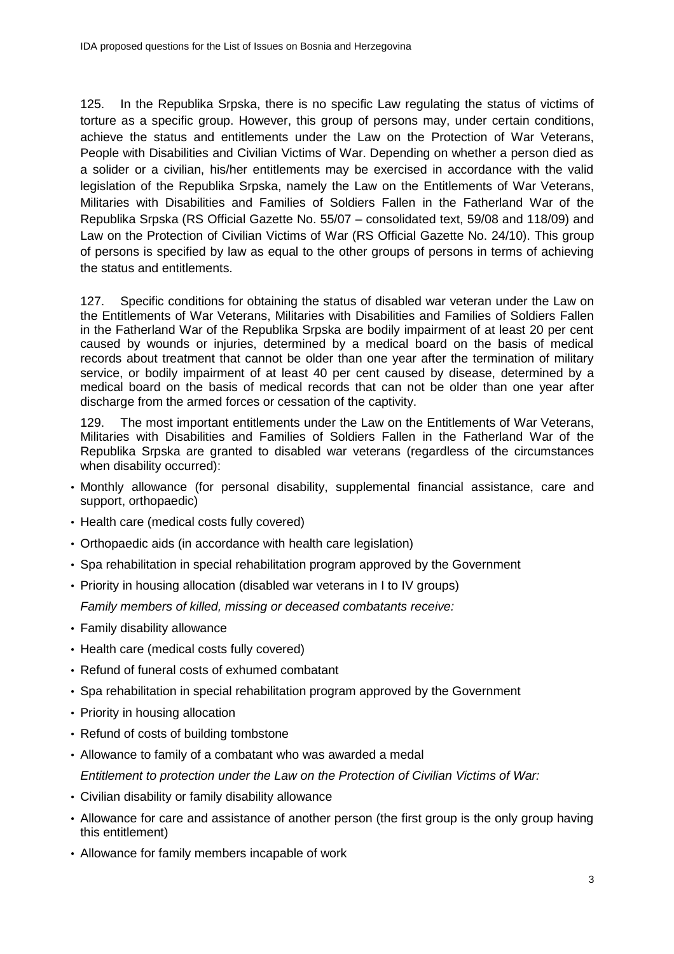125. In the Republika Srpska, there is no specific Law regulating the status of victims of torture as a specific group. However, this group of persons may, under certain conditions, achieve the status and entitlements under the Law on the Protection of War Veterans, People with Disabilities and Civilian Victims of War. Depending on whether a person died as a solider or a civilian, his/her entitlements may be exercised in accordance with the valid legislation of the Republika Srpska, namely the Law on the Entitlements of War Veterans, Militaries with Disabilities and Families of Soldiers Fallen in the Fatherland War of the Republika Srpska (RS Official Gazette No. 55/07 – consolidated text, 59/08 and 118/09) and Law on the Protection of Civilian Victims of War (RS Official Gazette No. 24/10). This group of persons is specified by law as equal to the other groups of persons in terms of achieving the status and entitlements.

127. Specific conditions for obtaining the status of disabled war veteran under the Law on the Entitlements of War Veterans, Militaries with Disabilities and Families of Soldiers Fallen in the Fatherland War of the Republika Srpska are bodily impairment of at least 20 per cent caused by wounds or injuries, determined by a medical board on the basis of medical records about treatment that cannot be older than one year after the termination of military service, or bodily impairment of at least 40 per cent caused by disease, determined by a medical board on the basis of medical records that can not be older than one year after discharge from the armed forces or cessation of the captivity.

129. The most important entitlements under the Law on the Entitlements of War Veterans, Militaries with Disabilities and Families of Soldiers Fallen in the Fatherland War of the Republika Srpska are granted to disabled war veterans (regardless of the circumstances when disability occurred):

- Monthly allowance (for personal disability, supplemental financial assistance, care and support, orthopaedic)
- Health care (medical costs fully covered)
- Orthopaedic aids (in accordance with health care legislation)
- Spa rehabilitation in special rehabilitation program approved by the Government
- Priority in housing allocation (disabled war veterans in I to IV groups)

Family members of killed, missing or deceased combatants receive:

- Family disability allowance
- Health care (medical costs fully covered)
- Refund of funeral costs of exhumed combatant
- Spa rehabilitation in special rehabilitation program approved by the Government
- Priority in housing allocation
- Refund of costs of building tombstone
- Allowance to family of a combatant who was awarded a medal

Entitlement to protection under the Law on the Protection of Civilian Victims of War:

- Civilian disability or family disability allowance
- Allowance for care and assistance of another person (the first group is the only group having this entitlement)
- Allowance for family members incapable of work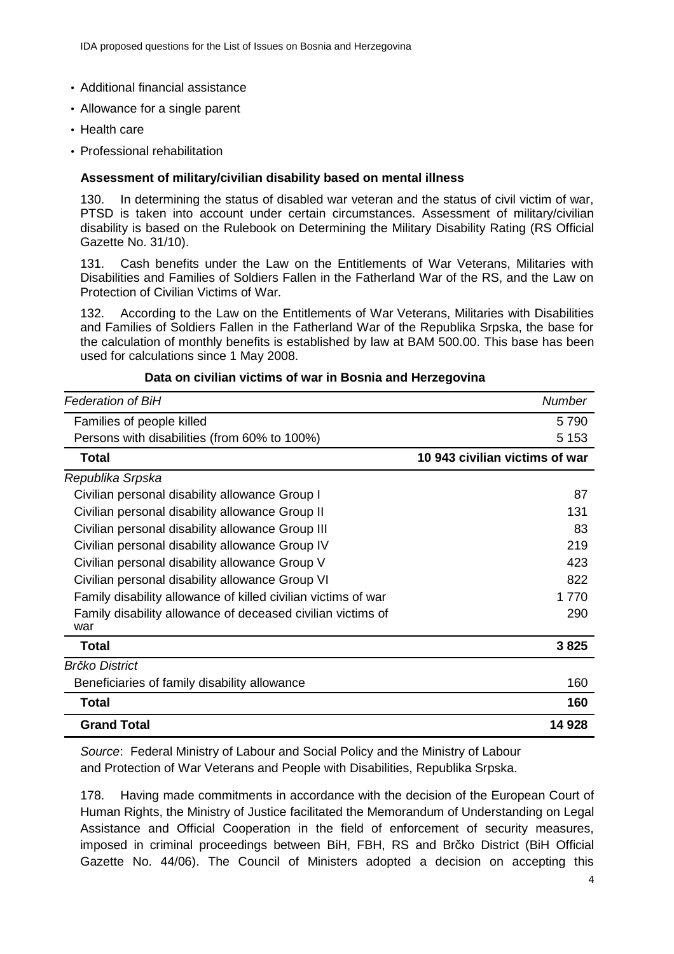#### • Additional financial assistance

- Allowance for a single parent
- Health care
- Professional rehabilitation

#### **Assessment of military/civilian disability based on mental illness**

130. In determining the status of disabled war veteran and the status of civil victim of war, PTSD is taken into account under certain circumstances. Assessment of military/civilian disability is based on the Rulebook on Determining the Military Disability Rating (RS Official Gazette No. 31/10).

131. Cash benefits under the Law on the Entitlements of War Veterans, Militaries with Disabilities and Families of Soldiers Fallen in the Fatherland War of the RS, and the Law on Protection of Civilian Victims of War.

132. According to the Law on the Entitlements of War Veterans, Militaries with Disabilities and Families of Soldiers Fallen in the Fatherland War of the Republika Srpska, the base for the calculation of monthly benefits is established by law at BAM 500.00. This base has been used for calculations since 1 May 2008.

| <b>Federation of BiH</b>                                           | <b>Number</b>                  |
|--------------------------------------------------------------------|--------------------------------|
| Families of people killed                                          | 5790                           |
| Persons with disabilities (from 60% to 100%)                       | 5 1 5 3                        |
| Total                                                              | 10 943 civilian victims of war |
| Republika Srpska                                                   |                                |
| Civilian personal disability allowance Group I                     | 87                             |
| Civilian personal disability allowance Group II                    | 131                            |
| Civilian personal disability allowance Group III                   | 83                             |
| Civilian personal disability allowance Group IV                    | 219                            |
| Civilian personal disability allowance Group V                     | 423                            |
| Civilian personal disability allowance Group VI                    | 822                            |
| Family disability allowance of killed civilian victims of war      | 1 7 7 0                        |
| Family disability allowance of deceased civilian victims of<br>war | 290                            |
| Total                                                              | 3825                           |
| <b>Brčko District</b>                                              |                                |
| Beneficiaries of family disability allowance                       | 160                            |
| <b>Total</b>                                                       | 160                            |
| <b>Grand Total</b>                                                 | 14 928                         |

#### **Data on civilian victims of war in Bosnia and Herzegovina**

Source: Federal Ministry of Labour and Social Policy and the Ministry of Labour and Protection of War Veterans and People with Disabilities, Republika Srpska.

178. Having made commitments in accordance with the decision of the European Court of Human Rights, the Ministry of Justice facilitated the Memorandum of Understanding on Legal Assistance and Official Cooperation in the field of enforcement of security measures, imposed in criminal proceedings between BiH, FBH, RS and Brčko District (BiH Official Gazette No. 44/06). The Council of Ministers adopted a decision on accepting this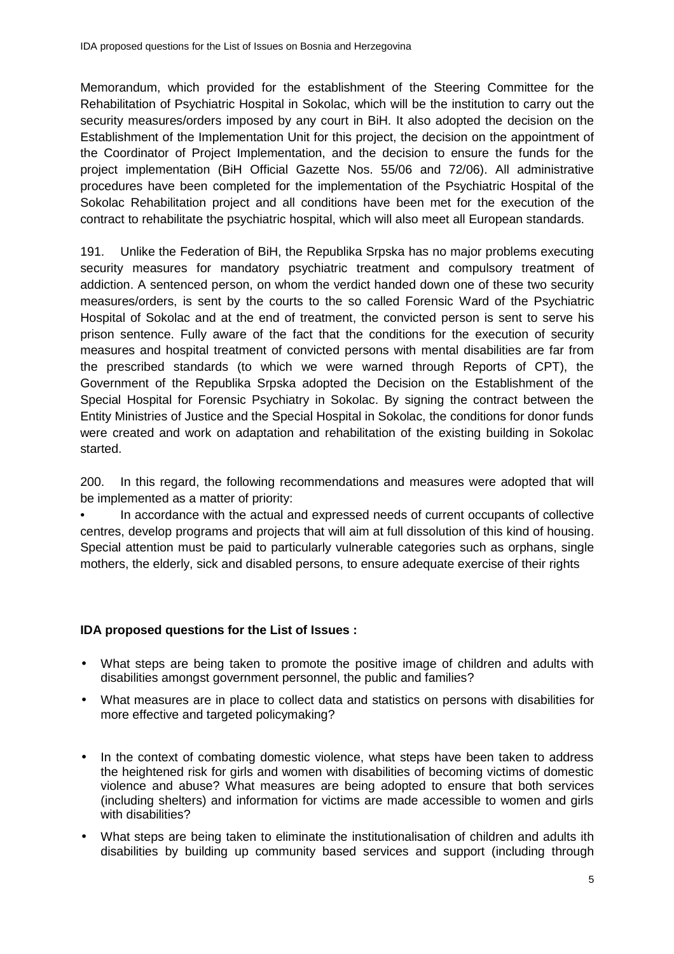Memorandum, which provided for the establishment of the Steering Committee for the Rehabilitation of Psychiatric Hospital in Sokolac, which will be the institution to carry out the security measures/orders imposed by any court in BiH. It also adopted the decision on the Establishment of the Implementation Unit for this project, the decision on the appointment of the Coordinator of Project Implementation, and the decision to ensure the funds for the project implementation (BiH Official Gazette Nos. 55/06 and 72/06). All administrative procedures have been completed for the implementation of the Psychiatric Hospital of the Sokolac Rehabilitation project and all conditions have been met for the execution of the contract to rehabilitate the psychiatric hospital, which will also meet all European standards.

191. Unlike the Federation of BiH, the Republika Srpska has no major problems executing security measures for mandatory psychiatric treatment and compulsory treatment of addiction. A sentenced person, on whom the verdict handed down one of these two security measures/orders, is sent by the courts to the so called Forensic Ward of the Psychiatric Hospital of Sokolac and at the end of treatment, the convicted person is sent to serve his prison sentence. Fully aware of the fact that the conditions for the execution of security measures and hospital treatment of convicted persons with mental disabilities are far from the prescribed standards (to which we were warned through Reports of CPT), the Government of the Republika Srpska adopted the Decision on the Establishment of the Special Hospital for Forensic Psychiatry in Sokolac. By signing the contract between the Entity Ministries of Justice and the Special Hospital in Sokolac, the conditions for donor funds were created and work on adaptation and rehabilitation of the existing building in Sokolac started.

200. In this regard, the following recommendations and measures were adopted that will be implemented as a matter of priority:

• In accordance with the actual and expressed needs of current occupants of collective centres, develop programs and projects that will aim at full dissolution of this kind of housing. Special attention must be paid to particularly vulnerable categories such as orphans, single mothers, the elderly, sick and disabled persons, to ensure adequate exercise of their rights

## **IDA proposed questions for the List of Issues :**

- What steps are being taken to promote the positive image of children and adults with disabilities amongst government personnel, the public and families?
- What measures are in place to collect data and statistics on persons with disabilities for more effective and targeted policymaking?
- In the context of combating domestic violence, what steps have been taken to address the heightened risk for girls and women with disabilities of becoming victims of domestic violence and abuse? What measures are being adopted to ensure that both services (including shelters) and information for victims are made accessible to women and girls with disabilities?
- What steps are being taken to eliminate the institutionalisation of children and adults ith disabilities by building up community based services and support (including through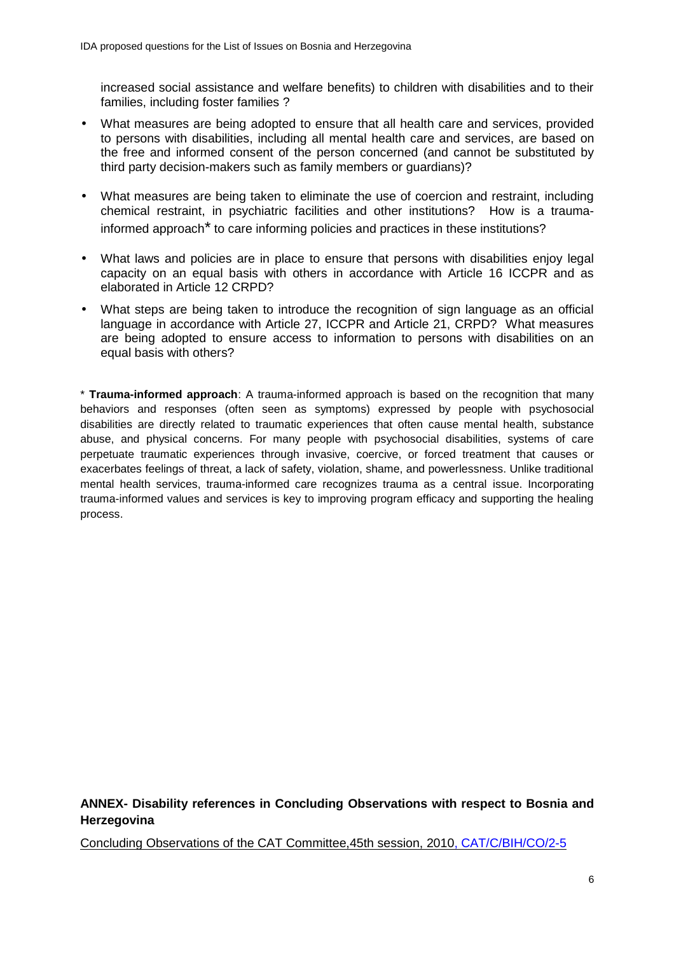increased social assistance and welfare benefits) to children with disabilities and to their families, including foster families ?

- What measures are being adopted to ensure that all health care and services, provided to persons with disabilities, including all mental health care and services, are based on the free and informed consent of the person concerned (and cannot be substituted by third party decision-makers such as family members or guardians)?
- What measures are being taken to eliminate the use of coercion and restraint, including chemical restraint, in psychiatric facilities and other institutions? How is a traumainformed approach\* to care informing policies and practices in these institutions?
- What laws and policies are in place to ensure that persons with disabilities enjoy legal capacity on an equal basis with others in accordance with Article 16 ICCPR and as elaborated in Article 12 CRPD?
- What steps are being taken to introduce the recognition of sign language as an official language in accordance with Article 27, ICCPR and Article 21, CRPD? What measures are being adopted to ensure access to information to persons with disabilities on an equal basis with others?

\* **Trauma-informed approach**: A trauma-informed approach is based on the recognition that many behaviors and responses (often seen as symptoms) expressed by people with psychosocial disabilities are directly related to traumatic experiences that often cause mental health, substance abuse, and physical concerns. For many people with psychosocial disabilities, systems of care perpetuate traumatic experiences through invasive, coercive, or forced treatment that causes or exacerbates feelings of threat, a lack of safety, violation, shame, and powerlessness. Unlike traditional mental health services, trauma-informed care recognizes trauma as a central issue. Incorporating trauma-informed values and services is key to improving program efficacy and supporting the healing process.

# **ANNEX- Disability references in Concluding Observations with respect to Bosnia and Herzegovina**

Concluding Observations of the CAT Committee,45th session, 2010 , CAT/C/BIH/CO/2-5